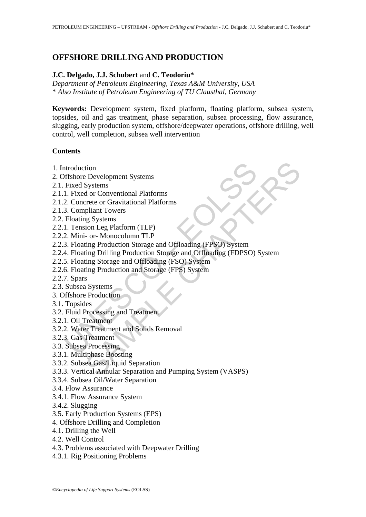# **OFFSHORE DRILLING AND PRODUCTION**

### **J.C. Delgado, J.J. Schubert** and **C. Teodoriu\***

*Department of Petroleum Engineering, Texas A&M University, USA*  \* *Also Institute of Petroleum Engineering of TU Clausthal, Germany* 

**Keywords:** Development system, fixed platform, floating platform, subsea system, topsides, oil and gas treatment, phase separation, subsea processing, flow assurance, slugging, early production system, offshore/deepwater operations, offshore drilling, well control, well completion, subsea well intervention

## **Contents**

- 1. Introduction
- 2. Offshore Development Systems
- 2.1. Fixed Systems
- 2.1.1. Fixed or Conventional Platforms
- 2.1.2. Concrete or Gravitational Platforms
- 2.1.3. Compliant Towers
- 2.2. Floating Systems
- 2.2.1. Tension Leg Platform (TLP)
- 2.2.2. Mini- or- Monocolumn TLP
- 2.2.3. Floating Production Storage and Offloading (FPSO) System
- ntroduction<br>
Fifshore Development Systems<br>
Fixed Systems<br>
1. Fixed or Conventional Platforms<br>
2. Concrete or Gravitational Platforms<br>
3. Compliant Towers<br>
Floating Systems<br>
1. Tension Leg Platform (TLP)<br>
2. Mini- or-Monoco tion<br>Systems<br>Systems<br>of or Conventional Platforms<br>orete or Gravitational Platforms<br>pliant Towers<br>plant Towers<br>plant Towers<br>plant Towers<br>orete or Gravitational Platforms<br>ing Broduction Storage and Offloading (FPSO) System<br>i 2.2.4. Floating Drilling Production Storage and Offloading (FDPSO) System
- 2.2.5. Floating Storage and Offloading (FSO) System
- 2.2.6. Floating Production and Storage (FPS) System
- 2.2.7. Spars
- 2.3. Subsea Systems
- 3. Offshore Production
- 3.1. Topsides
- 3.2. Fluid Processing and Treatment
- 3.2.1. Oil Treatment
- 3.2.2. Water Treatment and Solids Removal
- 3.2.3. Gas Treatment
- 3.3. Subsea Processing
- 3.3.1. Multiphase Boosting
- 3.3.2. Subsea Gas/Liquid Separation
- 3.3.3. Vertical Annular Separation and Pumping System (VASPS)
- 3.3.4. Subsea Oil/Water Separation
- 3.4. Flow Assurance
- 3.4.1. Flow Assurance System
- 3.4.2. Slugging
- 3.5. Early Production Systems (EPS)
- 4. Offshore Drilling and Completion
- 4.1. Drilling the Well
- 4.2. Well Control
- 4.3. Problems associated with Deepwater Drilling
- 4.3.1. Rig Positioning Problems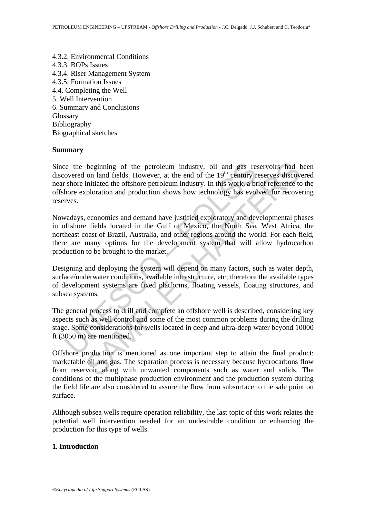4.3.2. Environmental Conditions 4.3.3. BOPs Issues 4.3.4. Riser Management System 4.3.5. Formation Issues 4.4. Completing the Well 5. Well Intervention 6. Summary and Conclusions **Glossary** Bibliography Biographical sketches

#### **Summary**

Eventually and different meta-<br>section and fields. However, at the end of the  $19^{\text{th}}$  century r<br>shore initiated the offshore petroleum industry. In this work, a br<br>hore exploration and production shows how technology h beginning of the petroleum industry, oil and gas reservoirs had on land fields. However, at the end of the 19<sup>th</sup> century reserves discovinitiated the offshore petroleum industry. In this work, a brief reference to plorati Since the beginning of the petroleum industry, oil and gas reservoirs had been discovered on land fields. However, at the end of the 19<sup>th</sup> century reserves discovered near shore initiated the offshore petroleum industry. In this work, a brief reference to the offshore exploration and production shows how technology has evolved for recovering reserves.

Nowadays, economics and demand have justified exploratory and developmental phases in offshore fields located in the Gulf of Mexico, the North Sea, West Africa, the northeast coast of Brazil, Australia, and other regions around the world. For each field, there are many options for the development system that will allow hydrocarbon production to be brought to the market.

Designing and deploying the system will depend on many factors, such as water depth, surface/underwater conditions, available infrastructure, etc; therefore the available types of development systems are fixed platforms, floating vessels, floating structures, and subsea systems.

The general process to drill and complete an offshore well is described, considering key aspects such as well control and some of the most common problems during the drilling stage. Some considerations for wells located in deep and ultra-deep water beyond 10000 ft (3050 m) are mentioned.

Offshore production is mentioned as one important step to attain the final product: marketable oil and gas. The separation process is necessary because hydrocarbons flow from reservoir along with unwanted components such as water and solids. The conditions of the multiphase production environment and the production system during the field life are also considered to assure the flow from subsurface to the sale point on surface.

Although subsea wells require operation reliability, the last topic of this work relates the potential well intervention needed for an undesirable condition or enhancing the production for this type of wells.

#### **1. Introduction**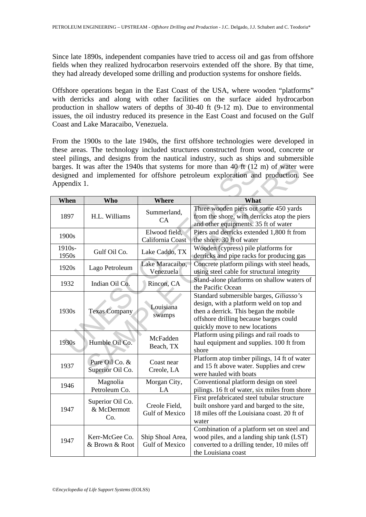Since late 1890s, independent companies have tried to access oil and gas from offshore fields when they realized hydrocarbon reservoirs extended off the shore. By that time, they had already developed some drilling and production systems for onshore fields.

Offshore operations began in the East Coast of the USA, where wooden "platforms" with derricks and along with other facilities on the surface aided hydrocarbon production in shallow waters of depths of 30-40 ft (9-12 m). Due to environmental issues, the oil industry reduced its presence in the East Coast and focused on the Gulf Coast and Lake Maracaibo, Venezuela.

From the 1900s to the late 1940s, the first offshore technologies were developed in these areas. The technology included structures constructed from wood, concrete or steel pilings, and designs from the nautical industry, such as ships and submersible barges. It was after the 1940s that systems for more than 40 ft (12 m) of water were designed and implemented for offshore petroleum exploration and production. See Appendix 1.

| barges. It was after the 1940s that systems for more than 40 ft (12 m) of water were<br>designed and implemented for offshore petroleum exploration and production. See<br>Appendix 1. |                                        |                                    |                                                                                                                                                                                                        |  |  |
|----------------------------------------------------------------------------------------------------------------------------------------------------------------------------------------|----------------------------------------|------------------------------------|--------------------------------------------------------------------------------------------------------------------------------------------------------------------------------------------------------|--|--|
| When                                                                                                                                                                                   | <b>Who</b>                             | <b>Where</b>                       | What                                                                                                                                                                                                   |  |  |
| 1897                                                                                                                                                                                   | H.L. Williams                          | Summerland,<br>CA                  | Three wooden piers out some 450 yards<br>from the shore, with derricks atop the piers<br>and other equipments. 35 ft of water                                                                          |  |  |
| 1900s                                                                                                                                                                                  |                                        | Elwood field,<br>California Coast  | Piers and derricks extended 1,800 ft from<br>the shore. 30 ft of water                                                                                                                                 |  |  |
| 1910s-<br>1950s                                                                                                                                                                        | Gulf Oil Co.                           | Lake Caddo, TX                     | Wooden (cypress) pile platforms for<br>derricks and pipe racks for producing gas                                                                                                                       |  |  |
| 1920s                                                                                                                                                                                  | Lago Petroleum                         | Lake Maracaibo,<br>Venezuela       | Concrete platform pilings with steel heads,<br>using steel cable for structural integrity                                                                                                              |  |  |
| 1932                                                                                                                                                                                   | Indian Oil Co.                         | Rincon, CA                         | Stand-alone platforms on shallow waters of<br>the Pacific Ocean                                                                                                                                        |  |  |
| 1930s                                                                                                                                                                                  | <b>Texas Company</b>                   | Louisiana<br>swamps                | Standard submersible barges, Giliasso's<br>design, with a platform weld on top and<br>then a derrick. This began the mobile<br>offshore drilling because barges could<br>quickly move to new locations |  |  |
| 1930s                                                                                                                                                                                  | Humble Oil Co.                         | McFadden<br>Beach, TX              | Platform using pilings and rail roads to<br>haul equipment and supplies. 100 ft from<br>shore                                                                                                          |  |  |
| 1937                                                                                                                                                                                   | Pure Oil Co. &<br>Superior Oil Co.     | Coast near<br>Creole, LA           | Platform atop timber pilings, 14 ft of water<br>and 15 ft above water. Supplies and crew<br>were hauled with boats                                                                                     |  |  |
| 1946                                                                                                                                                                                   | Magnolia<br>Petroleum Co.              | Morgan City,<br>LA                 | Conventional platform design on steel<br>pilings. 16 ft of water, six miles from shore                                                                                                                 |  |  |
| 1947                                                                                                                                                                                   | Superior Oil Co.<br>& McDermott<br>Co. | Creole Field,<br>Gulf of Mexico    | First prefabricated steel tubular structure<br>built onshore yard and barged to the site,<br>18 miles off the Louisiana coast. 20 ft of<br>water                                                       |  |  |
| 1947                                                                                                                                                                                   | Kerr-McGee Co.<br>& Brown & Root       | Ship Shoal Area,<br>Gulf of Mexico | Combination of a platform set on steel and<br>wood piles, and a landing ship tank (LST)<br>converted to a drilling tender, 10 miles off<br>the Louisiana coast                                         |  |  |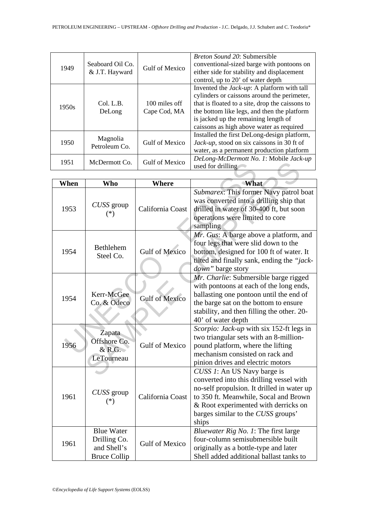| 1949  | Seaboard Oil Co.<br>& J.T. Hayward | <b>Gulf of Mexico</b>         | <i>Breton Sound 20: Submersible</i><br>conventional-sized barge with pontoons on<br>either side for stability and displacement<br>control, up to 20' of water depth                                                                                                                     |
|-------|------------------------------------|-------------------------------|-----------------------------------------------------------------------------------------------------------------------------------------------------------------------------------------------------------------------------------------------------------------------------------------|
| 1950s | Col. L.B.<br>DeLong                | 100 miles off<br>Cape Cod, MA | Invented the <i>Jack-up</i> : A platform with tall<br>cylinders or caissons around the perimeter,<br>that is floated to a site, drop the caissons to<br>the bottom like legs, and then the platform<br>is jacked up the remaining length of<br>caissons as high above water as required |
| 1950  | Magnolia<br>Petroleum Co.          | Gulf of Mexico                | Installed the first DeLong-design platform,<br>Jack-up, stood on six caissons in 30 ft of<br>water, as a permanent production platform                                                                                                                                                  |
| 1951  | McDermott Co.                      | <b>Gulf of Mexico</b>         | DeLong-McDermott No. 1: Mobile Jack-up<br>used for drilling                                                                                                                                                                                                                             |

| 1951 | McDermott Co.                                                           | <b>Gulf of Mexico</b> | used for drilling                                                                                                                                                                                                                                     |  |  |
|------|-------------------------------------------------------------------------|-----------------------|-------------------------------------------------------------------------------------------------------------------------------------------------------------------------------------------------------------------------------------------------------|--|--|
|      |                                                                         |                       |                                                                                                                                                                                                                                                       |  |  |
| When | <b>Who</b>                                                              | <b>Where</b>          | What                                                                                                                                                                                                                                                  |  |  |
| 1953 | CUSS group<br>$(*)$                                                     | California Coast      | Submarex: This former Navy patrol boat<br>was converted into a drilling ship that<br>drilled in water of 30-400 ft, but soon<br>operations were limited to core<br>sampling                                                                           |  |  |
| 1954 | Bethlehem<br>Steel Co.                                                  | <b>Gulf of Mexico</b> | Mr. Gus: A barge above a platform, and<br>four legs that were slid down to the<br>bottom, designed for 100 ft of water. It<br>tilted and finally sank, ending the "jack-<br>down" barge story                                                         |  |  |
| 1954 | Kerr-McGee<br>Co. & Odeco                                               | <b>Gulf of Mexico</b> | Mr. Charlie: Submersible barge rigged<br>with pontoons at each of the long ends,<br>ballasting one pontoon until the end of<br>the barge sat on the bottom to ensure<br>stability, and then filling the other. 20-<br>40' of water depth              |  |  |
| 1956 | Zapata<br>Offshore Co.<br>$&$ R.G.<br>LeTourneau                        | <b>Gulf of Mexico</b> | Scorpio: Jack-up with six 152-ft legs in<br>two triangular sets with an 8-million-<br>pound platform, where the lifting<br>mechanism consisted on rack and<br>pinion drives and electric motors                                                       |  |  |
| 1961 | CUSS group<br>$(*)$                                                     | California Coast      | CUSS 1: An US Navy barge is<br>converted into this drilling vessel with<br>no-self propulsion. It drilled in water up<br>to 350 ft. Meanwhile, Socal and Brown<br>& Root experimented with derricks on<br>barges similar to the CUSS groups'<br>ships |  |  |
| 1961 | <b>Blue Water</b><br>Drilling Co.<br>and Shell's<br><b>Bruce Collip</b> | <b>Gulf of Mexico</b> | Bluewater Rig No. 1: The first large<br>four-column semisubmersible built<br>originally as a bottle-type and later<br>Shell added additional ballast tanks to                                                                                         |  |  |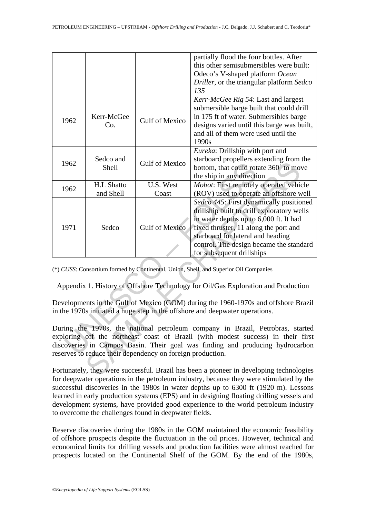|                                                                                                                                                                                                                                                                                                                   |                    |                       | partially flood the four bottles. After<br>this other semisubmersibles were built:<br>Odeco's V-shaped platform Ocean<br>Driller, or the triangular platform Sedco                                                                                                                    |  |  |
|-------------------------------------------------------------------------------------------------------------------------------------------------------------------------------------------------------------------------------------------------------------------------------------------------------------------|--------------------|-----------------------|---------------------------------------------------------------------------------------------------------------------------------------------------------------------------------------------------------------------------------------------------------------------------------------|--|--|
|                                                                                                                                                                                                                                                                                                                   |                    |                       | 135                                                                                                                                                                                                                                                                                   |  |  |
| 1962                                                                                                                                                                                                                                                                                                              | Kerr-McGee<br>Co.  | <b>Gulf of Mexico</b> | Kerr-McGee Rig 54: Last and largest<br>submersible barge built that could drill<br>in 175 ft of water. Submersibles barge<br>designs varied until this barge was built,<br>and all of them were used until the<br>1990s                                                               |  |  |
| 1962                                                                                                                                                                                                                                                                                                              | Sedco and<br>Shell | Gulf of Mexico        | Eureka: Drillship with port and<br>starboard propellers extending from the<br>bottom, that could rotate 360° to move<br>the ship in any direction                                                                                                                                     |  |  |
| 1962                                                                                                                                                                                                                                                                                                              | <b>H.L Shatto</b>  | U.S. West             | Mobot: First remotely operated vehicle                                                                                                                                                                                                                                                |  |  |
|                                                                                                                                                                                                                                                                                                                   | and Shell          | Coast                 | (ROV) used to operate an offshore well                                                                                                                                                                                                                                                |  |  |
| 1971                                                                                                                                                                                                                                                                                                              | Sedco              | <b>Gulf of Mexico</b> | Sedco 445: First dynamically positioned<br>drillship built to drill exploratory wells<br>in water depths up to 6,000 ft. It had<br>fixed thruster, 11 along the port and<br>starboard for lateral and heading<br>control. The design became the standard<br>for subsequent drillships |  |  |
| (*) CUSS: Consortium formed by Continental, Union, Shell, and Superior Oil Companies                                                                                                                                                                                                                              |                    |                       |                                                                                                                                                                                                                                                                                       |  |  |
| Appendix 1. History of Offshore Technology for Oil/Gas Exploration and Production                                                                                                                                                                                                                                 |                    |                       |                                                                                                                                                                                                                                                                                       |  |  |
| Developments in the Gulf of Mexico (GOM) during the 1960-1970s and offshore Brazil<br>in the 1970s initiated a huge step in the offshore and deepwater operations.                                                                                                                                                |                    |                       |                                                                                                                                                                                                                                                                                       |  |  |
| During the 1970s, the national petroleum company in Brazil, Petrobras, started<br>exploring off the northeast coast of Brazil (with modest success) in their first<br>discoveries in Campos Basin. Their goal was finding and producing hydrocarbon<br>reserves to reduce their dependency on foreign production. |                    |                       |                                                                                                                                                                                                                                                                                       |  |  |
| Fortunately, they were successful. Brazil has been a pioneer in developing technologies                                                                                                                                                                                                                           |                    |                       |                                                                                                                                                                                                                                                                                       |  |  |

Fortunately, they were successful. Brazil has been a pioneer in developing technologies for deepwater operations in the petroleum industry, because they were stimulated by the successful discoveries in the 1980s in water depths up to 6300 ft (1920 m). Lessons learned in early production systems (EPS) and in designing floating drilling vessels and development systems, have provided good experience to the world petroleum industry to overcome the challenges found in deepwater fields.

Reserve discoveries during the 1980s in the GOM maintained the economic feasibility of offshore prospects despite the fluctuation in the oil prices. However, technical and economical limits for drilling vessels and production facilities were almost reached for prospects located on the Continental Shelf of the GOM. By the end of the 1980s,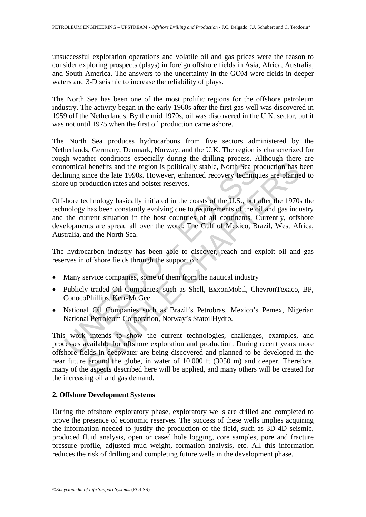unsuccessful exploration operations and volatile oil and gas prices were the reason to consider exploring prospects (plays) in foreign offshore fields in Asia, Africa, Australia, and South America. The answers to the uncertainty in the GOM were fields in deeper waters and 3-D seismic to increase the reliability of plays.

The North Sea has been one of the most prolific regions for the offshore petroleum industry. The activity began in the early 1960s after the first gas well was discovered in 1959 off the Netherlands. By the mid 1970s, oil was discovered in the U.K. sector, but it was not until 1975 when the first oil production came ashore.

The North Sea produces hydrocarbons from five sectors administered by the Netherlands, Germany, Denmark, Norway, and the U.K. The region is characterized for rough weather conditions especially during the drilling process. Although there are economical benefits and the region is politically stable, North Sea production has been declining since the late 1990s. However, enhanced recovery techniques are planned to shore up production rates and bolster reserves.

in comical benefits and the region is politically stable, North Sea provincial benefits and the region is politically stable. North Sea production rates and bolster reserves.<br>
Shore technology basically initiated in the co Offshore technology basically initiated in the coasts of the U.S., but after the 1970s the technology has been constantly evolving due to requirements of the oil and gas industry and the current situation in the host countries of all continents. Currently, offshore developments are spread all over the word: The Gulf of Mexico, Brazil, West Africa, Australia, and the North Sea.

The hydrocarbon industry has been able to discover, reach and exploit oil and gas reserves in offshore fields through the support of:

- Many service companies, some of them from the nautical industry
- Publicly traded Oil Companies, such as Shell, ExxonMobil, ChevronTexaco, BP, ConocoPhillips, Kerr-McGee
- National Oil Companies such as Brazil's Petrobras, Mexico's Pemex, Nigerian National Petroleum Corporation, Norway's StatoilHydro.

I benefits and the region is politically stable, North Sea production has lince the late 1990s. However, enhanced recovery techniques are planne oduction rates and bolster reserves.<br>
cchnology basically initiated in the co This work intends to show the current technologies, challenges, examples, and processes available for offshore exploration and production. During recent years more offshore fields in deepwater are being discovered and planned to be developed in the near future around the globe, in water of 10 000 ft (3050 m) and deeper. Therefore, many of the aspects described here will be applied, and many others will be created for the increasing oil and gas demand.

### **2. Offshore Development Systems**

During the offshore exploratory phase, exploratory wells are drilled and completed to prove the presence of economic reserves. The success of these wells implies acquiring the information needed to justify the production of the field, such as 3D-4D seismic, produced fluid analysis, open or cased hole logging, core samples, pore and fracture pressure profile, adjusted mud weight, formation analysis, etc. All this information reduces the risk of drilling and completing future wells in the development phase.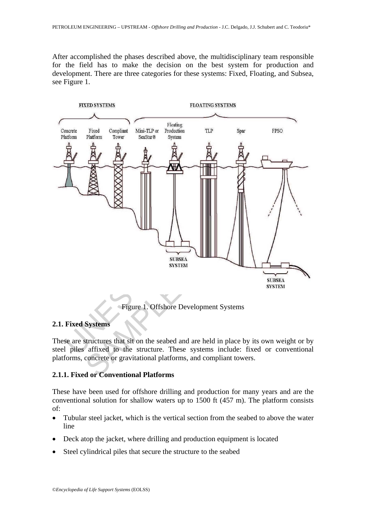After accomplished the phases described above, the multidisciplinary team responsible for the field has to make the decision on the best system for production and development. There are three categories for these systems: Fixed, Floating, and Subsea, see Figure 1.



### **2.1. Fixed Systems**

These are structures that sit on the seabed and are held in place by its own weight or by steel piles affixed to the structure. These systems include: fixed or conventional platforms, concrete or gravitational platforms, and compliant towers.

# **2.1.1. Fixed or Conventional Platforms**

These have been used for offshore drilling and production for many years and are the conventional solution for shallow waters up to 1500 ft (457 m). The platform consists of:

- Tubular steel jacket, which is the vertical section from the seabed to above the water line
- Deck atop the jacket, where drilling and production equipment is located
- Steel cylindrical piles that secure the structure to the seabed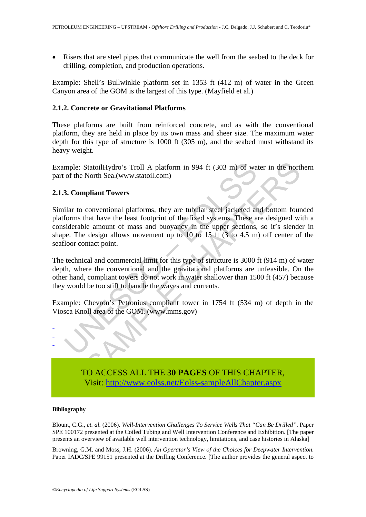• Risers that are steel pipes that communicate the well from the seabed to the deck for drilling, completion, and production operations.

Example: Shell's Bullwinkle platform set in 1353 ft (412 m) of water in the Green Canyon area of the GOM is the largest of this type. (Mayfield et al.)

### **2.1.2. Concrete or Gravitational Platforms**

These platforms are built from reinforced concrete, and as with the conventional platform, they are held in place by its own mass and sheer size. The maximum water depth for this type of structure is 1000 ft (305 m), and the seabed must withstand its heavy weight.

Example: StatoilHydro's Troll A platform in 994 ft (303 m) of water in the northern part of the North Sea.(www.statoil.com)

#### **2.1.3. Compliant Towers**

mple: StatoilHydro's Troll A platform in 994 ft (303 m) of wa<br>of the North Sea.(www.statoil.com)<br>3. **Compliant Towers**<br>ilar to conventional platforms, they are tubular steel jacketed are<br>forms that have the least footprint StatoilHydro's Troll A platform in 994 ft (303 m) of water in the nort<br>North Sea.(www.statoil.com)<br>pliant Towers<br>conventional platforms, they are tubular steel jacketed and bottom found<br>that have the least footprint of th Similar to conventional platforms, they are tubular steel jacketed and bottom founded platforms that have the least footprint of the fixed systems. These are designed with a considerable amount of mass and buoyancy in the upper sections, so it's slender in shape. The design allows movement up to 10 to 15 ft (3 to 4.5 m) off center of the seafloor contact point.

The technical and commercial limit for this type of structure is 3000 ft (914 m) of water depth, where the conventional and the gravitational platforms are unfeasible. On the other hand, compliant towers do not work in water shallower than 1500 ft (457) because they would be too stiff to handle the waves and currents.

Example: Chevron's Petronius compliant tower in 1754 ft (534 m) of depth in the Viosca Knoll area of the GOM. (www.mms.gov)



TO ACCESS ALL THE **30 PAGES** OF THIS CHAPTER, Vis[it: http://www.eolss.net/Eolss-sampleAllChapter.aspx](https://www.eolss.net/ebooklib/sc_cart.aspx?File=E6-193-20)

#### **Bibliography**

Blount, C.G., *et. al.* (2006). *Well-Intervention Challenges To Service Wells That "Can Be Drilled"*. Paper SPE 100172 presented at the Coiled Tubing and Well Intervention Conference and Exhibition. [The paper presents an overview of available well intervention technology, limitations, and case histories in Alaska]

Browning, G.M. and Moss, J.H. (2006). *An Operator's View of the Choices for Deepwater Intervention*. Paper IADC/SPE 99151 presented at the Drilling Conference. [The author provides the general aspect to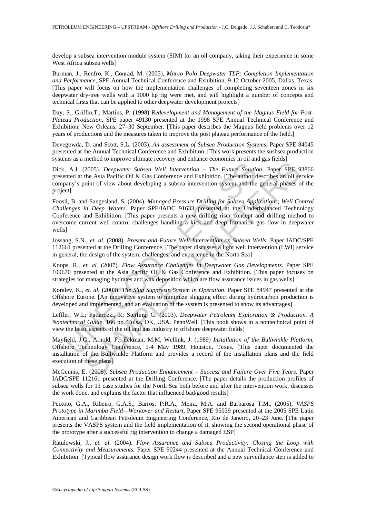develop a subsea intervention module system (SIM) for an oil company, taking their experience in some West Africa subsea wells]

Burman, J., Renfro, K., Conrad, M. (2005), *Marco Polo Deepwater TLP: Completion Implementation and Performance*, SPE Annual Technical Conference and Exhibition, 9-12 October 2005, Dallas, Texas. [This paper will focus on how the implementation challenges of completing seventeen zones in six deepwater dry-tree wells with a 1000 hp rig were met, and will highlight a number of concepts and technical firsts that can be applied to other deepwater development projects]

Day, S., Griffin,T., Martins, P. (1998) *Redevelopment and Management of the Magnus Field for Post-Plateau Production*, SPE paper 49130 presented at the 1998 SPE Annual Technical Conference and Exhibition, New Orleans, 27–30 September. [This paper describes the Magnus field problems over 12 years of productions and the measures taken to improve the post plateau performance of the field.]

Devegowda, D. and Scott, S.L. (2003). *An assessment of Subsea Production Systems.* Paper SPE 84045 presented at the Annual Technical Conference and Exhibition. [This work presents the susbsea production systems as a method to improve ultimate recovery and enhance economics in oil and gas fields]

Dick, A.J. (2005). *Deepwater Subsea Well Intervention – The Future Solution.* Paper SPE 93866 presented at the Asia Pacific Oil & Gas Conference and Exhibition. [The author describes an oil service company's point of view about developing a subsea intervention system and the general phases of the project]

, A.J. (2005). *Deepwater Subsea Well Intervention* – *The Future Soluticented* at the Asia Pacific Oil & Gas Conference and Exhibition. [The author doany's point of view about developing a subsea intervention system and 2005). *Deepwater Subsea Well Intervention* – *The Future Solution*. Paper SPE 9206). *Deepwater Subsea Well Intervention* – *The Future Solution*. Paper SPE 9 the Asia Pacific Oil & Gas Conference and Exhibition. [The au Foosil, B. and Sangesland, S. (2004). *Managed Pressure Drilling for Subsea Applications; Well Control Challenges in Deep Waters*. Paper SPE/IADC 91633 presented at the Underbalanced Technology Conference and Exhibition. [This paper presents a new drilling riser concept and drilling method to overcome current well control challenges handling a kick and deep formation gas flow in deepwater wells]

Jossang, S.N., *et. al.* (2008). *Present and Future Well Intervention on Subsea Wells*. Paper IADC/SPE 112661 presented at the Drilling Conference. [The paper discusses a light well intervention (LWI) service in general, the design of the system, challenges, and experience in the North Sea]

Koops, R., *et. al.* (2007). *Flow Assurance Challenges in Deepwater Gas Developments.* Paper SPE 109670 presented at the Asia Pacific Oil & Gas Conference and Exhibition. [This paper focuses on strategies for managing hydrates and wax deposition which are flow assurance issues in gas wells]

Koralev, K., *et. al.* (2003). *The Slug Suppresin System in Operation*. Paper SPE 84947 presented at the Offshore Europe. [An innovative system to minimize slugging effect during hydrocarbon production is developed and implemented, and an evaluation of the system is presented to show its advantages]

Leffler, W.L; Pattarozzi, R; Sterling, G. (2003). *Deepwater Petroleum Exploration & Production. A Nontechnical Guide*, 166 pp. Tulsa, OK, USA. PennWell. [This book shows in a nontechnical point of view the basic aspects of the oil and gas industry in offshore deepwater fields]

Mayfield, J.G., Arnold, P., Eekman, M.M, Wellink, J. (1989) *Installation of the Bullwinkle Platform*, Offshore Technology Conference, 1-4 May 1989, Houston, Texas. [This paper documented the installation of the Bullwinkle Platform and provides a record of the installation plans and the field execution of these plans]

McGennis, E. (2008). *Subsea Production Enhancement – Success and Failure Over Five Years*. Paper IADC/SPE 112161 presented at the Drilling Conference. [The paper details the production profiles of subsea wells for 13 case studies for the North Sea both before and after the intervention work, discusses the work done, and explains the factor that influenced bad/good results]

Peixoto, G.A., Ribeiro, G.A.S., Barros, P:R.A., Meira, M.A. and Barbarosa T.M., (2005), *VASPS Prototype in Marimba Field—Workover and Restart,* Paper SPE 95039 presented at the 2005 SPE Latin American and Caribbean Petroleum Engineering Conference, Rio de Janeiro, 20–23 June. [The paper presents the VASPS system and the field implementation of it, showing the second operational phase of the prototype after a successful rig intervention to change a damaged ESP]

Ratulowski, J., *et. al.* (2004). *Flow Assurance and Subsea Productivity: Closing the Loop with Connectivity and Measurements.* Paper SPE 90244 presented at the Annual Technical Conference and Exhibition. [Typical flow assurance design work flow is described and a new surveillance step is added to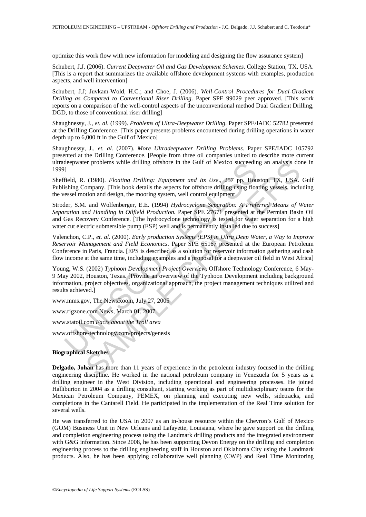optimize this work flow with new information for modeling and designing the flow assurance system]

Schubert, J.J. (2006). *Current Deepwater Oil and Gas Development Schemes*. College Station, TX, USA. [This is a report that summarizes the available offshore development systems with examples, production aspects, and well intervention]

Schubert, J.J; Juvkam-Wold, H.C.; and Choe, J. (2006). *Well-Control Procedures for Dual-Gradient Drilling as Compared to Conventional Riser Drilling*. Paper SPE 99029 peer approved. [This work reports on a comparison of the well-control aspects of the unconventional method Dual Gradient Drilling, DGD, to those of conventional riser drilling]

Shaughnessy, J., *et. al.* (1999). *Problems of Ultra-Deepwater Drilling*. Paper SPE/IADC 52782 presented at the Drilling Conference. [This paper presents problems encountered during drilling operations in water depth up to 6,000 ft in the Gulf of Mexico]

Shaughnessy, J., *et. al.* (2007). *More Ultradeepwater Drilling Problems*. Paper SPE/IADC 105792 presented at the Drilling Conference. [People from three oil companies united to describe more current ultradeepwater problems while drilling offshore in the Gulf of Mexico succeeding an analysis done in 1999]

Sheffield, R. (1980). *Floating Drilling: Equipment and Its Use*., 257 pp. Houston, TX, USA. Gulf Publishing Company. [This book details the aspects for offshore drilling using floating vessels, including the vessel motion and design, the mooring system, well control equipment

UNESCO – EOLSS er problems while drilling offshore in the Gulf of Mexico succeeding an analysis do<br>
(1980). *Floating Drilling: Equipment and Its Use.*, 257 pp. Houston, TX, USA.<br>
ompany. [This book details the aspects for offshore drill Stroder, S.M. and Wolfenberger, E.E. (1994) *Hydrocyclone Separation: A Preferred Means of Water Separation and Handling in Oilfield Production.* Paper SPE 27671 presented at the Permian Basin Oil and Gas Recovery Conference. [The hydrocyclone technology is tested for water separation for a high water cut electric submersible pump (ESP) well and is permanently installed due to success]

Valenchon, C.P., *et. al.* (2000). *Early production Systems (EPS) in Ultra Deep Water, a Way to Improve Reservoir Management and Field Economics*. Paper SPE 65167 presented at the European Petroleum Conference in Paris, Francia. [EPS is described as a solution for reservoir information gathering and cash flow income at the same time, including examples and a proposal for a deepwater oil field in West Africa]

Young, W.S. (2002) *Typhoon Development Project Overview*, Offshore Technology Conference, 6 May-9 May 2002, Houston, Texas. [Provide an overview of the Typhoon Development including background information, project objectives, organizational approach, the project management techniques utilized and results achieved.]

www.mms.gov, The NewsRoom, July 27, 2005

www.rigzone.com News, March 01, 2007.

www.statoil.com *Facts about the Troll area* 

www.offshore-technology.com/projects/genesis

#### **Biographical Sketches**

**Delgado, Johan** has more than 11 years of experience in the petroleum industry focused in the drilling engineering discipline. He worked in the national petroleum company in Venezuela for 5 years as a drilling engineer in the West Division, including operational and engineering processes. He joined Halliburton in 2004 as a drilling consultant, starting working as part of multidisciplinary teams for the Mexican Petroleum Company, PEMEX, on planning and executing new wells, sidetracks, and completions in the Cantarell Field. He participated in the implementation of the Real Time solution for several wells.

He was transferred to the USA in 2007 as an in-house resource within the Chevron's Gulf of Mexico (GOM) Business Unit in New Orleans and Lafayette, Louisiana, where he gave support on the drilling and completion engineering process using the Landmark drilling products and the integrated environment with G&G information. Since 2008, he has been supporting Devon Energy on the drilling and completion engineering process to the drilling engineering staff in Houston and Oklahoma City using the Landmark products. Also, he has been applying collaborative well planning (CWP) and Real Time Monitoring